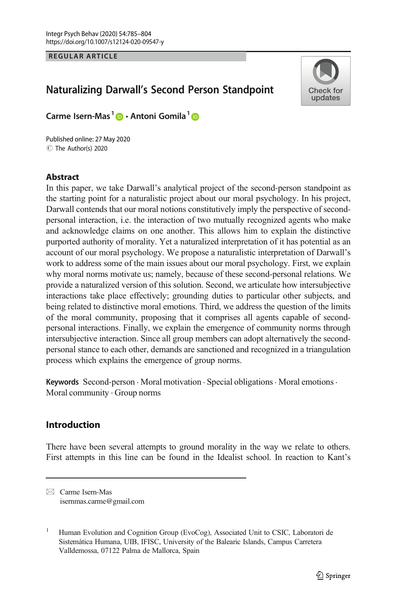**REGULAR ARTICLE** 

# Naturalizing Darwall's Second Person Standpoint



Carme Isern-Mas<sup>1</sup> **D** · Antoni Gomila<sup>1</sup> D

C The Author(s) 2020 Published online: 27 May 2020

## Abstract

In this paper, we take Darwall's analytical project of the second-person standpoint as the starting point for a naturalistic project about our moral psychology. In his project, Darwall contends that our moral notions constitutively imply the perspective of secondpersonal interaction, i.e. the interaction of two mutually recognized agents who make and acknowledge claims on one another. This allows him to explain the distinctive purported authority of morality. Yet a naturalized interpretation of it has potential as an account of our moral psychology. We propose a naturalistic interpretation of Darwall's work to address some of the main issues about our moral psychology. First, we explain why moral norms motivate us; namely, because of these second-personal relations. We provide a naturalized version of this solution. Second, we articulate how intersubjective interactions take place effectively; grounding duties to particular other subjects, and being related to distinctive moral emotions. Third, we address the question of the limits of the moral community, proposing that it comprises all agents capable of secondpersonal interactions. Finally, we explain the emergence of community norms through intersubjective interaction. Since all group members can adopt alternatively the secondpersonal stance to each other, demands are sanctioned and recognized in a triangulation process which explains the emergence of group norms.

Keywords Second-person . Moral motivation . Special obligations. Moral emotions. Moral community  $\cdot$  Group norms

## Introduction

There have been several attempts to ground morality in the way we relate to others. First attempts in this line can be found in the Idealist school. In reaction to Kant's

 $\boxtimes$  Carme Isern-Mas [isernmas.carme@gmail.com](mailto:isernmas.carme@gmail.com)

Human Evolution and Cognition Group (EvoCog), Associated Unit to CSIC, Laboratori de Sistemàtica Humana, UIB, IFISC, University of the Balearic Islands, Campus Carretera Valldemossa, 07122 Palma de Mallorca, Spain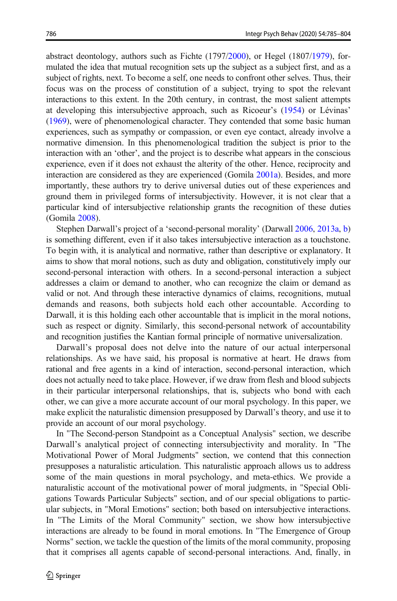abstract deontology, authors such as Fichte (1797/[2000](#page-18-0)), or Hegel (1807[/1979\)](#page-18-0), formulated the idea that mutual recognition sets up the subject as a subject first, and as a subject of rights, next. To become a self, one needs to confront other selves. Thus, their focus was on the process of constitution of a subject, trying to spot the relevant interactions to this extent. In the 20th century, in contrast, the most salient attempts at developing this intersubjective approach, such as Ricoeur's [\(1954\)](#page-19-0) or Lévinas' [\(1969\)](#page-18-0), were of phenomenological character. They contended that some basic human experiences, such as sympathy or compassion, or even eye contact, already involve a normative dimension. In this phenomenological tradition the subject is prior to the interaction with an 'other', and the project is to describe what appears in the conscious experience, even if it does not exhaust the alterity of the other. Hence, reciprocity and interaction are considered as they are experienced (Gomila [2001a\)](#page-18-0). Besides, and more importantly, these authors try to derive universal duties out of these experiences and ground them in privileged forms of intersubjectivity. However, it is not clear that a particular kind of intersubjective relationship grants the recognition of these duties (Gomila [2008\)](#page-18-0).

Stephen Darwall's project of a 'second-personal morality' (Darwall [2006](#page-18-0), [2013a](#page-18-0), [b](#page-18-0)) is something different, even if it also takes intersubjective interaction as a touchstone. To begin with, it is analytical and normative, rather than descriptive or explanatory. It aims to show that moral notions, such as duty and obligation, constitutively imply our second-personal interaction with others. In a second-personal interaction a subject addresses a claim or demand to another, who can recognize the claim or demand as valid or not. And through these interactive dynamics of claims, recognitions, mutual demands and reasons, both subjects hold each other accountable. According to Darwall, it is this holding each other accountable that is implicit in the moral notions, such as respect or dignity. Similarly, this second-personal network of accountability and recognition justifies the Kantian formal principle of normative universalization.

Darwall's proposal does not delve into the nature of our actual interpersonal relationships. As we have said, his proposal is normative at heart. He draws from rational and free agents in a kind of interaction, second-personal interaction, which does not actually need to take place. However, if we draw from flesh and blood subjects in their particular interpersonal relationships, that is, subjects who bond with each other, we can give a more accurate account of our moral psychology. In this paper, we make explicit the naturalistic dimension presupposed by Darwall's theory, and use it to provide an account of our moral psychology.

In "The Second-person Standpoint as a Conceptual Analysis" section, we describe Darwall's analytical project of connecting intersubjectivity and morality. In "The Motivational Power of Moral Judgments" section, we contend that this connection presupposes a naturalistic articulation. This naturalistic approach allows us to address some of the main questions in moral psychology, and meta-ethics. We provide a naturalistic account of the motivational power of moral judgments, in "Special Obligations Towards Particular Subjects" section, and of our special obligations to particular subjects, in "Moral Emotions" section; both based on intersubjective interactions. In "The Limits of the Moral Community" section, we show how intersubjective interactions are already to be found in moral emotions. In "The Emergence of Group Norms" section, we tackle the question of the limits of the moral community, proposing that it comprises all agents capable of second-personal interactions. And, finally, in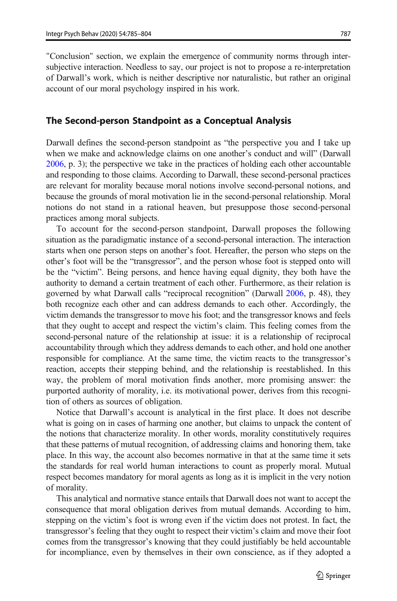"Conclusion" section, we explain the emergence of community norms through intersubjective interaction. Needless to say, our project is not to propose a re-interpretation of Darwall's work, which is neither descriptive nor naturalistic, but rather an original account of our moral psychology inspired in his work.

#### The Second-person Standpoint as a Conceptual Analysis

Darwall defines the second-person standpoint as "the perspective you and I take up when we make and acknowledge claims on one another's conduct and will" (Darwall [2006,](#page-18-0) p. 3); the perspective we take in the practices of holding each other accountable and responding to those claims. According to Darwall, these second-personal practices are relevant for morality because moral notions involve second-personal notions, and because the grounds of moral motivation lie in the second-personal relationship. Moral notions do not stand in a rational heaven, but presuppose those second-personal practices among moral subjects.

To account for the second-person standpoint, Darwall proposes the following situation as the paradigmatic instance of a second-personal interaction. The interaction starts when one person steps on another's foot. Hereafter, the person who steps on the other's foot will be the "transgressor", and the person whose foot is stepped onto will be the "victim". Being persons, and hence having equal dignity, they both have the authority to demand a certain treatment of each other. Furthermore, as their relation is governed by what Darwall calls "reciprocal recognition" (Darwall [2006](#page-18-0), p. 48), they both recognize each other and can address demands to each other. Accordingly, the victim demands the transgressor to move his foot; and the transgressor knows and feels that they ought to accept and respect the victim's claim. This feeling comes from the second-personal nature of the relationship at issue: it is a relationship of reciprocal accountability through which they address demands to each other, and hold one another responsible for compliance. At the same time, the victim reacts to the transgressor's reaction, accepts their stepping behind, and the relationship is reestablished. In this way, the problem of moral motivation finds another, more promising answer: the purported authority of morality, i.e. its motivational power, derives from this recognition of others as sources of obligation.

Notice that Darwall's account is analytical in the first place. It does not describe what is going on in cases of harming one another, but claims to unpack the content of the notions that characterize morality. In other words, morality constitutively requires that these patterns of mutual recognition, of addressing claims and honoring them, take place. In this way, the account also becomes normative in that at the same time it sets the standards for real world human interactions to count as properly moral. Mutual respect becomes mandatory for moral agents as long as it is implicit in the very notion of morality.

This analytical and normative stance entails that Darwall does not want to accept the consequence that moral obligation derives from mutual demands. According to him, stepping on the victim's foot is wrong even if the victim does not protest. In fact, the transgressor's feeling that they ought to respect their victim's claim and move their foot comes from the transgressor's knowing that they could justifiably be held accountable for incompliance, even by themselves in their own conscience, as if they adopted a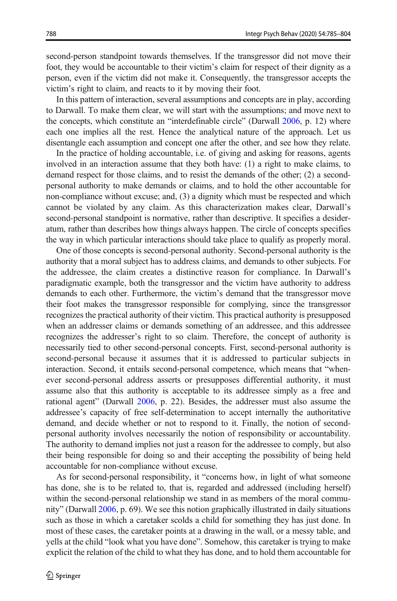second-person standpoint towards themselves. If the transgressor did not move their foot, they would be accountable to their victim's claim for respect of their dignity as a person, even if the victim did not make it. Consequently, the transgressor accepts the victim's right to claim, and reacts to it by moving their foot.

In this pattern of interaction, several assumptions and concepts are in play, according to Darwall. To make them clear, we will start with the assumptions; and move next to the concepts, which constitute an "interdefinable circle" (Darwall [2006](#page-18-0), p. 12) where each one implies all the rest. Hence the analytical nature of the approach. Let us disentangle each assumption and concept one after the other, and see how they relate.

In the practice of holding accountable, i.e. of giving and asking for reasons, agents involved in an interaction assume that they both have: (1) a right to make claims, to demand respect for those claims, and to resist the demands of the other; (2) a secondpersonal authority to make demands or claims, and to hold the other accountable for non-compliance without excuse; and, (3) a dignity which must be respected and which cannot be violated by any claim. As this characterization makes clear, Darwall's second-personal standpoint is normative, rather than descriptive. It specifies a desideratum, rather than describes how things always happen. The circle of concepts specifies the way in which particular interactions should take place to qualify as properly moral.

One of those concepts is second-personal authority. Second-personal authority is the authority that a moral subject has to address claims, and demands to other subjects. For the addressee, the claim creates a distinctive reason for compliance. In Darwall's paradigmatic example, both the transgressor and the victim have authority to address demands to each other. Furthermore, the victim's demand that the transgressor move their foot makes the transgressor responsible for complying, since the transgressor recognizes the practical authority of their victim. This practical authority is presupposed when an addresser claims or demands something of an addressee, and this addressee recognizes the addresser's right to so claim. Therefore, the concept of authority is necessarily tied to other second-personal concepts. First, second-personal authority is second-personal because it assumes that it is addressed to particular subjects in interaction. Second, it entails second-personal competence, which means that "whenever second-personal address asserts or presupposes differential authority, it must assume also that this authority is acceptable to its addressee simply as a free and rational agent" (Darwall [2006](#page-18-0), p. 22). Besides, the addresser must also assume the addressee's capacity of free self-determination to accept internally the authoritative demand, and decide whether or not to respond to it. Finally, the notion of secondpersonal authority involves necessarily the notion of responsibility or accountability. The authority to demand implies not just a reason for the addressee to comply, but also their being responsible for doing so and their accepting the possibility of being held accountable for non-compliance without excuse.

As for second-personal responsibility, it "concerns how, in light of what someone has done, she is to be related to, that is, regarded and addressed (including herself) within the second-personal relationship we stand in as members of the moral community" (Darwall [2006,](#page-18-0) p. 69). We see this notion graphically illustrated in daily situations such as those in which a caretaker scolds a child for something they has just done. In most of these cases, the caretaker points at a drawing in the wall, or a messy table, and yells at the child "look what you have done". Somehow, this caretaker is trying to make explicit the relation of the child to what they has done, and to hold them accountable for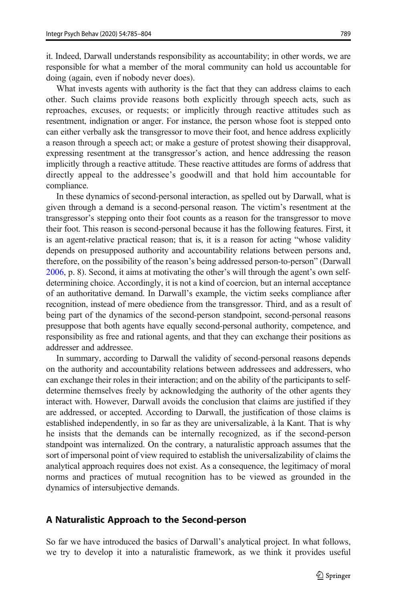it. Indeed, Darwall understands responsibility as accountability; in other words, we are responsible for what a member of the moral community can hold us accountable for doing (again, even if nobody never does).

What invests agents with authority is the fact that they can address claims to each other. Such claims provide reasons both explicitly through speech acts, such as reproaches, excuses, or requests; or implicitly through reactive attitudes such as resentment, indignation or anger. For instance, the person whose foot is stepped onto can either verbally ask the transgressor to move their foot, and hence address explicitly a reason through a speech act; or make a gesture of protest showing their disapproval, expressing resentment at the transgressor's action, and hence addressing the reason implicitly through a reactive attitude. These reactive attitudes are forms of address that directly appeal to the addressee's goodwill and that hold him accountable for compliance.

In these dynamics of second-personal interaction, as spelled out by Darwall, what is given through a demand is a second-personal reason. The victim's resentment at the transgressor's stepping onto their foot counts as a reason for the transgressor to move their foot. This reason is second-personal because it has the following features. First, it is an agent-relative practical reason; that is, it is a reason for acting "whose validity depends on presupposed authority and accountability relations between persons and, therefore, on the possibility of the reason's being addressed person-to-person" (Darwall [2006,](#page-18-0) p. 8). Second, it aims at motivating the other's will through the agent's own selfdetermining choice. Accordingly, it is not a kind of coercion, but an internal acceptance of an authoritative demand. In Darwall's example, the victim seeks compliance after recognition, instead of mere obedience from the transgressor. Third, and as a result of being part of the dynamics of the second-person standpoint, second-personal reasons presuppose that both agents have equally second-personal authority, competence, and responsibility as free and rational agents, and that they can exchange their positions as addresser and addressee.

In summary, according to Darwall the validity of second-personal reasons depends on the authority and accountability relations between addressees and addressers, who can exchange their roles in their interaction; and on the ability of the participants to selfdetermine themselves freely by acknowledging the authority of the other agents they interact with. However, Darwall avoids the conclusion that claims are justified if they are addressed, or accepted. According to Darwall, the justification of those claims is established independently, in so far as they are universalizable, à la Kant. That is why he insists that the demands can be internally recognized, as if the second-person standpoint was internalized. On the contrary, a naturalistic approach assumes that the sort of impersonal point of view required to establish the universalizability of claims the analytical approach requires does not exist. As a consequence, the legitimacy of moral norms and practices of mutual recognition has to be viewed as grounded in the dynamics of intersubjective demands.

#### A Naturalistic Approach to the Second-person

So far we have introduced the basics of Darwall's analytical project. In what follows, we try to develop it into a naturalistic framework, as we think it provides useful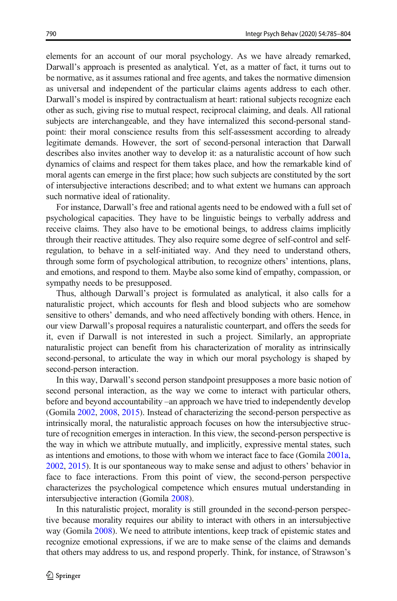elements for an account of our moral psychology. As we have already remarked, Darwall's approach is presented as analytical. Yet, as a matter of fact, it turns out to be normative, as it assumes rational and free agents, and takes the normative dimension as universal and independent of the particular claims agents address to each other. Darwall's model is inspired by contractualism at heart: rational subjects recognize each other as such, giving rise to mutual respect, reciprocal claiming, and deals. All rational subjects are interchangeable, and they have internalized this second-personal standpoint: their moral conscience results from this self-assessment according to already legitimate demands. However, the sort of second-personal interaction that Darwall describes also invites another way to develop it: as a naturalistic account of how such dynamics of claims and respect for them takes place, and how the remarkable kind of moral agents can emerge in the first place; how such subjects are constituted by the sort of intersubjective interactions described; and to what extent we humans can approach such normative ideal of rationality.

For instance, Darwall's free and rational agents need to be endowed with a full set of psychological capacities. They have to be linguistic beings to verbally address and receive claims. They also have to be emotional beings, to address claims implicitly through their reactive attitudes. They also require some degree of self-control and selfregulation, to behave in a self-initiated way. And they need to understand others, through some form of psychological attribution, to recognize others' intentions, plans, and emotions, and respond to them. Maybe also some kind of empathy, compassion, or sympathy needs to be presupposed.

Thus, although Darwall's project is formulated as analytical, it also calls for a naturalistic project, which accounts for flesh and blood subjects who are somehow sensitive to others' demands, and who need affectively bonding with others. Hence, in our view Darwall's proposal requires a naturalistic counterpart, and offers the seeds for it, even if Darwall is not interested in such a project. Similarly, an appropriate naturalistic project can benefit from his characterization of morality as intrinsically second-personal, to articulate the way in which our moral psychology is shaped by second-person interaction.

In this way, Darwall's second person standpoint presupposes a more basic notion of second personal interaction, as the way we come to interact with particular others, before and beyond accountability –an approach we have tried to independently develop (Gomila [2002](#page-18-0), [2008,](#page-18-0) [2015\)](#page-18-0). Instead of characterizing the second-person perspective as intrinsically moral, the naturalistic approach focuses on how the intersubjective structure of recognition emerges in interaction. In this view, the second-person perspective is the way in which we attribute mutually, and implicitly, expressive mental states, such as intentions and emotions, to those with whom we interact face to face (Gomila [2001a,](#page-18-0) [2002,](#page-18-0) [2015](#page-18-0)). It is our spontaneous way to make sense and adjust to others' behavior in face to face interactions. From this point of view, the second-person perspective characterizes the psychological competence which ensures mutual understanding in intersubjective interaction (Gomila [2008](#page-18-0)).

In this naturalistic project, morality is still grounded in the second-person perspective because morality requires our ability to interact with others in an intersubjective way (Gomila [2008](#page-18-0)). We need to attribute intentions, keep track of epistemic states and recognize emotional expressions, if we are to make sense of the claims and demands that others may address to us, and respond properly. Think, for instance, of Strawson's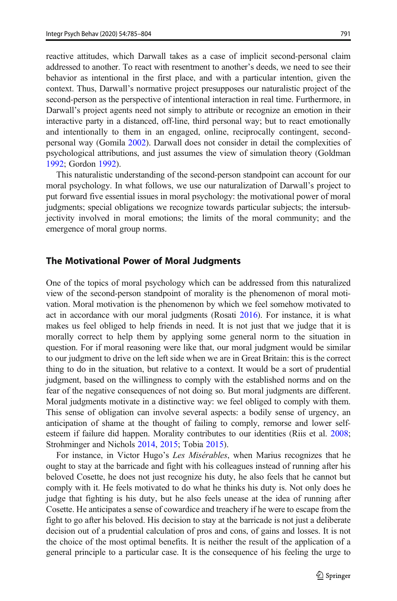reactive attitudes, which Darwall takes as a case of implicit second-personal claim addressed to another. To react with resentment to another's deeds, we need to see their behavior as intentional in the first place, and with a particular intention, given the context. Thus, Darwall's normative project presupposes our naturalistic project of the second-person as the perspective of intentional interaction in real time. Furthermore, in Darwall's project agents need not simply to attribute or recognize an emotion in their interactive party in a distanced, off-line, third personal way; but to react emotionally and intentionally to them in an engaged, online, reciprocally contingent, secondpersonal way (Gomila [2002\)](#page-18-0). Darwall does not consider in detail the complexities of psychological attributions, and just assumes the view of simulation theory (Goldman [1992;](#page-18-0) Gordon [1992\)](#page-18-0).

This naturalistic understanding of the second-person standpoint can account for our moral psychology. In what follows, we use our naturalization of Darwall's project to put forward five essential issues in moral psychology: the motivational power of moral judgments; special obligations we recognize towards particular subjects; the intersubjectivity involved in moral emotions; the limits of the moral community; and the emergence of moral group norms.

#### The Motivational Power of Moral Judgments

One of the topics of moral psychology which can be addressed from this naturalized view of the second-person standpoint of morality is the phenomenon of moral motivation. Moral motivation is the phenomenon by which we feel somehow motivated to act in accordance with our moral judgments (Rosati [2016](#page-19-0)). For instance, it is what makes us feel obliged to help friends in need. It is not just that we judge that it is morally correct to help them by applying some general norm to the situation in question. For if moral reasoning were like that, our moral judgment would be similar to our judgment to drive on the left side when we are in Great Britain: this is the correct thing to do in the situation, but relative to a context. It would be a sort of prudential judgment, based on the willingness to comply with the established norms and on the fear of the negative consequences of not doing so. But moral judgments are different. Moral judgments motivate in a distinctive way: we feel obliged to comply with them. This sense of obligation can involve several aspects: a bodily sense of urgency, an anticipation of shame at the thought of failing to comply, remorse and lower selfesteem if failure did happen. Morality contributes to our identities (Riis et al. [2008;](#page-19-0) Strohminger and Nichols [2014](#page-19-0), [2015;](#page-19-0) Tobia [2015\)](#page-19-0).

For instance, in Victor Hugo's Les Misérables, when Marius recognizes that he ought to stay at the barricade and fight with his colleagues instead of running after his beloved Cosette, he does not just recognize his duty, he also feels that he cannot but comply with it. He feels motivated to do what he thinks his duty is. Not only does he judge that fighting is his duty, but he also feels unease at the idea of running after Cosette. He anticipates a sense of cowardice and treachery if he were to escape from the fight to go after his beloved. His decision to stay at the barricade is not just a deliberate decision out of a prudential calculation of pros and cons, of gains and losses. It is not the choice of the most optimal benefits. It is neither the result of the application of a general principle to a particular case. It is the consequence of his feeling the urge to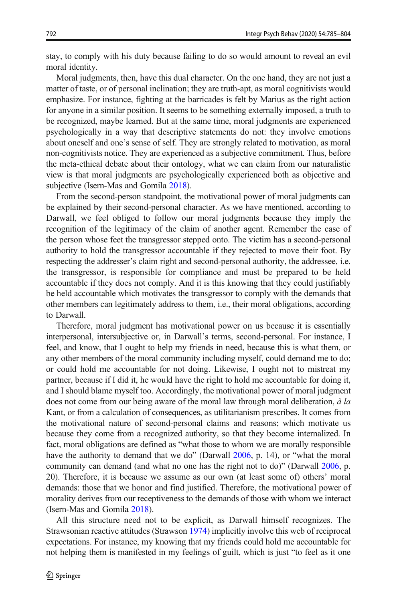stay, to comply with his duty because failing to do so would amount to reveal an evil moral identity.

Moral judgments, then, have this dual character. On the one hand, they are not just a matter of taste, or of personal inclination; they are truth-apt, as moral cognitivists would emphasize. For instance, fighting at the barricades is felt by Marius as the right action for anyone in a similar position. It seems to be something externally imposed, a truth to be recognized, maybe learned. But at the same time, moral judgments are experienced psychologically in a way that descriptive statements do not: they involve emotions about oneself and one's sense of self. They are strongly related to motivation, as moral non-cognitivists notice. They are experienced as a subjective commitment. Thus, before the meta-ethical debate about their ontology, what we can claim from our naturalistic view is that moral judgments are psychologically experienced both as objective and subjective (Isern-Mas and Gomila [2018\)](#page-18-0).

From the second-person standpoint, the motivational power of moral judgments can be explained by their second-personal character. As we have mentioned, according to Darwall, we feel obliged to follow our moral judgments because they imply the recognition of the legitimacy of the claim of another agent. Remember the case of the person whose feet the transgressor stepped onto. The victim has a second-personal authority to hold the transgressor accountable if they rejected to move their foot. By respecting the addresser's claim right and second-personal authority, the addressee, i.e. the transgressor, is responsible for compliance and must be prepared to be held accountable if they does not comply. And it is this knowing that they could justifiably be held accountable which motivates the transgressor to comply with the demands that other members can legitimately address to them, i.e., their moral obligations, according to Darwall.

Therefore, moral judgment has motivational power on us because it is essentially interpersonal, intersubjective or, in Darwall's terms, second-personal. For instance, I feel, and know, that I ought to help my friends in need, because this is what them, or any other members of the moral community including myself, could demand me to do; or could hold me accountable for not doing. Likewise, I ought not to mistreat my partner, because if I did it, he would have the right to hold me accountable for doing it, and I should blame myself too. Accordingly, the motivational power of moral judgment does not come from our being aware of the moral law through moral deliberation, à la Kant, or from a calculation of consequences, as utilitarianism prescribes. It comes from the motivational nature of second-personal claims and reasons; which motivate us because they come from a recognized authority, so that they become internalized. In fact, moral obligations are defined as "what those to whom we are morally responsible have the authority to demand that we do" (Darwall [2006,](#page-18-0) p. 14), or "what the moral community can demand (and what no one has the right not to do)" (Darwall [2006,](#page-18-0) p. 20). Therefore, it is because we assume as our own (at least some of) others' moral demands: those that we honor and find justified. Therefore, the motivational power of morality derives from our receptiveness to the demands of those with whom we interact (Isern-Mas and Gomila [2018\)](#page-18-0).

All this structure need not to be explicit, as Darwall himself recognizes. The Strawsonian reactive attitudes (Strawson [1974](#page-19-0)) implicitly involve this web of reciprocal expectations. For instance, my knowing that my friends could hold me accountable for not helping them is manifested in my feelings of guilt, which is just "to feel as it one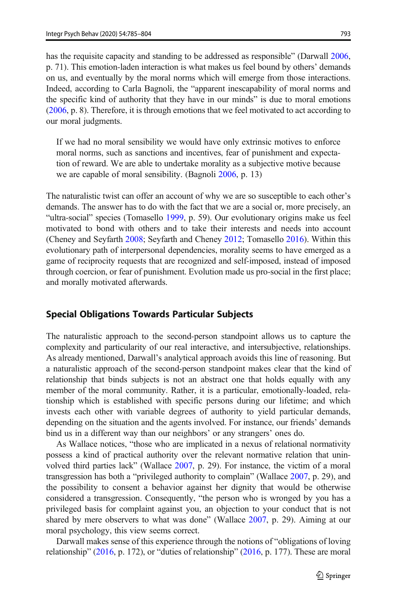has the requisite capacity and standing to be addressed as responsible" (Darwall [2006,](#page-18-0) p. 71). This emotion-laden interaction is what makes us feel bound by others' demands on us, and eventually by the moral norms which will emerge from those interactions. Indeed, according to Carla Bagnoli, the "apparent inescapability of moral norms and the specific kind of authority that they have in our minds" is due to moral emotions [\(2006,](#page-17-0) p. 8). Therefore, it is through emotions that we feel motivated to act according to our moral judgments.

If we had no moral sensibility we would have only extrinsic motives to enforce moral norms, such as sanctions and incentives, fear of punishment and expectation of reward. We are able to undertake morality as a subjective motive because we are capable of moral sensibility. (Bagnoli [2006](#page-17-0), p. 13)

The naturalistic twist can offer an account of why we are so susceptible to each other's demands. The answer has to do with the fact that we are a social or, more precisely, an "ultra-social" species (Tomasello [1999](#page-19-0), p. 59). Our evolutionary origins make us feel motivated to bond with others and to take their interests and needs into account (Cheney and Seyfarth [2008](#page-17-0); Seyfarth and Cheney [2012;](#page-19-0) Tomasello [2016\)](#page-19-0). Within this evolutionary path of interpersonal dependencies, morality seems to have emerged as a game of reciprocity requests that are recognized and self-imposed, instead of imposed through coercion, or fear of punishment. Evolution made us pro-social in the first place; and morally motivated afterwards.

#### Special Obligations Towards Particular Subjects

The naturalistic approach to the second-person standpoint allows us to capture the complexity and particularity of our real interactive, and intersubjective, relationships. As already mentioned, Darwall's analytical approach avoids this line of reasoning. But a naturalistic approach of the second-person standpoint makes clear that the kind of relationship that binds subjects is not an abstract one that holds equally with any member of the moral community. Rather, it is a particular, emotionally-loaded, relationship which is established with specific persons during our lifetime; and which invests each other with variable degrees of authority to yield particular demands, depending on the situation and the agents involved. For instance, our friends' demands bind us in a different way than our neighbors' or any strangers' ones do.

As Wallace notices, "those who are implicated in a nexus of relational normativity possess a kind of practical authority over the relevant normative relation that uninvolved third parties lack" (Wallace [2007](#page-19-0), p. 29). For instance, the victim of a moral transgression has both a "privileged authority to complain" (Wallace [2007](#page-19-0), p. 29), and the possibility to consent a behavior against her dignity that would be otherwise considered a transgression. Consequently, "the person who is wronged by you has a privileged basis for complaint against you, an objection to your conduct that is not shared by mere observers to what was done" (Wallace [2007,](#page-19-0) p. 29). Aiming at our moral psychology, this view seems correct.

Darwall makes sense of this experience through the notions of "obligations of loving relationship" [\(2016,](#page-18-0) p. 172), or "duties of relationship" [\(2016,](#page-18-0) p. 177). These are moral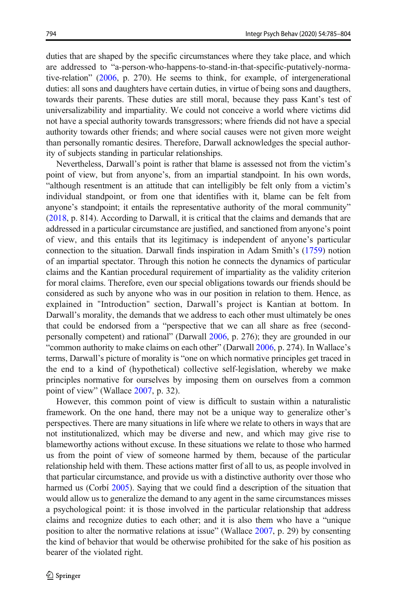duties that are shaped by the specific circumstances where they take place, and which are addressed to "a-person-who-happens-to-stand-in-that-specific-putatively-normative-relation" ([2006](#page-18-0), p. 270). He seems to think, for example, of intergenerational duties: all sons and daughters have certain duties, in virtue of being sons and daugthers, towards their parents. These duties are still moral, because they pass Kant's test of universalizability and impartiality. We could not conceive a world where victims did not have a special authority towards transgressors; where friends did not have a special authority towards other friends; and where social causes were not given more weight than personally romantic desires. Therefore, Darwall acknowledges the special authority of subjects standing in particular relationships.

Nevertheless, Darwall's point is rather that blame is assessed not from the victim's point of view, but from anyone's, from an impartial standpoint. In his own words, "although resentment is an attitude that can intelligibly be felt only from a victim's individual standpoint, or from one that identifies with it, blame can be felt from anyone's standpoint; it entails the representative authority of the moral community" [\(2018,](#page-18-0) p. 814). According to Darwall, it is critical that the claims and demands that are addressed in a particular circumstance are justified, and sanctioned from anyone's point of view, and this entails that its legitimacy is independent of anyone's particular connection to the situation. Darwall finds inspiration in Adam Smith's [\(1759\)](#page-19-0) notion of an impartial spectator. Through this notion he connects the dynamics of particular claims and the Kantian procedural requirement of impartiality as the validity criterion for moral claims. Therefore, even our special obligations towards our friends should be considered as such by anyone who was in our position in relation to them. Hence, as explained in "Introduction" section, Darwall's project is Kantian at bottom. In Darwall's morality, the demands that we address to each other must ultimately be ones that could be endorsed from a "perspective that we can all share as free (secondpersonally competent) and rational" (Darwall [2006](#page-18-0), p. 276); they are grounded in our "common authority to make claims on each other" (Darwall [2006](#page-18-0), p. 274). In Wallace's terms, Darwall's picture of morality is "one on which normative principles get traced in the end to a kind of (hypothetical) collective self-legislation, whereby we make principles normative for ourselves by imposing them on ourselves from a common point of view" (Wallace [2007](#page-19-0), p. 32).

However, this common point of view is difficult to sustain within a naturalistic framework. On the one hand, there may not be a unique way to generalize other's perspectives. There are many situations in life where we relate to others in ways that are not institutionalized, which may be diverse and new, and which may give rise to blameworthy actions without excuse. In these situations we relate to those who harmed us from the point of view of someone harmed by them, because of the particular relationship held with them. These actions matter first of all to us, as people involved in that particular circumstance, and provide us with a distinctive authority over those who harmed us (Corbí [2005](#page-17-0)). Saying that we could find a description of the situation that would allow us to generalize the demand to any agent in the same circumstances misses a psychological point: it is those involved in the particular relationship that address claims and recognize duties to each other; and it is also them who have a "unique position to alter the normative relations at issue" (Wallace [2007,](#page-19-0) p. 29) by consenting the kind of behavior that would be otherwise prohibited for the sake of his position as bearer of the violated right.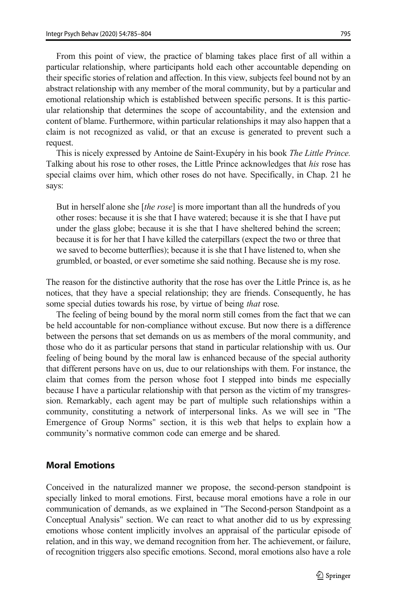From this point of view, the practice of blaming takes place first of all within a particular relationship, where participants hold each other accountable depending on their specific stories of relation and affection. In this view, subjects feel bound not by an abstract relationship with any member of the moral community, but by a particular and emotional relationship which is established between specific persons. It is this particular relationship that determines the scope of accountability, and the extension and content of blame. Furthermore, within particular relationships it may also happen that a claim is not recognized as valid, or that an excuse is generated to prevent such a request.

This is nicely expressed by Antoine de Saint-Exupéry in his book The Little Prince. Talking about his rose to other roses, the Little Prince acknowledges that his rose has special claims over him, which other roses do not have. Specifically, in Chap. 21 he says:

But in herself alone she *[the rose]* is more important than all the hundreds of you other roses: because it is she that I have watered; because it is she that I have put under the glass globe; because it is she that I have sheltered behind the screen; because it is for her that I have killed the caterpillars (expect the two or three that we saved to become butterflies); because it is she that I have listened to, when she grumbled, or boasted, or ever sometime she said nothing. Because she is my rose.

The reason for the distinctive authority that the rose has over the Little Prince is, as he notices, that they have a special relationship; they are friends. Consequently, he has some special duties towards his rose, by virtue of being *that* rose.

The feeling of being bound by the moral norm still comes from the fact that we can be held accountable for non-compliance without excuse. But now there is a difference between the persons that set demands on us as members of the moral community, and those who do it as particular persons that stand in particular relationship with us. Our feeling of being bound by the moral law is enhanced because of the special authority that different persons have on us, due to our relationships with them. For instance, the claim that comes from the person whose foot I stepped into binds me especially because I have a particular relationship with that person as the victim of my transgression. Remarkably, each agent may be part of multiple such relationships within a community, constituting a network of interpersonal links. As we will see in "The Emergence of Group Norms" section, it is this web that helps to explain how a community's normative common code can emerge and be shared.

### Moral Emotions

Conceived in the naturalized manner we propose, the second-person standpoint is specially linked to moral emotions. First, because moral emotions have a role in our communication of demands, as we explained in "The Second-person Standpoint as a Conceptual Analysis" section. We can react to what another did to us by expressing emotions whose content implicitly involves an appraisal of the particular episode of relation, and in this way, we demand recognition from her. The achievement, or failure, of recognition triggers also specific emotions. Second, moral emotions also have a role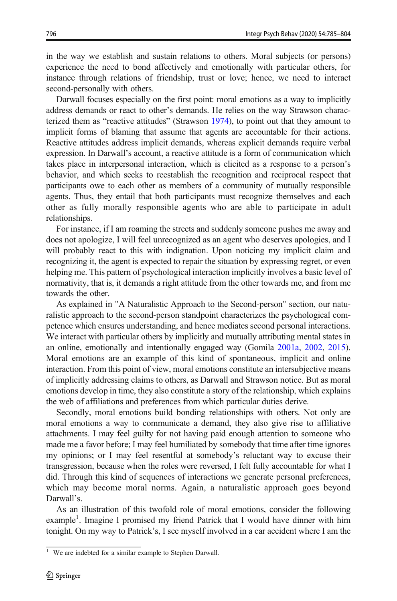in the way we establish and sustain relations to others. Moral subjects (or persons) experience the need to bond affectively and emotionally with particular others, for instance through relations of friendship, trust or love; hence, we need to interact second-personally with others.

Darwall focuses especially on the first point: moral emotions as a way to implicitly address demands or react to other's demands. He relies on the way Strawson characterized them as "reactive attitudes" (Strawson [1974](#page-19-0)), to point out that they amount to implicit forms of blaming that assume that agents are accountable for their actions. Reactive attitudes address implicit demands, whereas explicit demands require verbal expression. In Darwall's account, a reactive attitude is a form of communication which takes place in interpersonal interaction, which is elicited as a response to a person's behavior, and which seeks to reestablish the recognition and reciprocal respect that participants owe to each other as members of a community of mutually responsible agents. Thus, they entail that both participants must recognize themselves and each other as fully morally responsible agents who are able to participate in adult relationships.

For instance, if I am roaming the streets and suddenly someone pushes me away and does not apologize, I will feel unrecognized as an agent who deserves apologies, and I will probably react to this with indignation. Upon noticing my implicit claim and recognizing it, the agent is expected to repair the situation by expressing regret, or even helping me. This pattern of psychological interaction implicitly involves a basic level of normativity, that is, it demands a right attitude from the other towards me, and from me towards the other.

As explained in "A Naturalistic Approach to the Second-person" section, our naturalistic approach to the second-person standpoint characterizes the psychological competence which ensures understanding, and hence mediates second personal interactions. We interact with particular others by implicitly and mutually attributing mental states in an online, emotionally and intentionally engaged way (Gomila [2001a](#page-18-0), [2002,](#page-18-0) [2015\)](#page-18-0). Moral emotions are an example of this kind of spontaneous, implicit and online interaction. From this point of view, moral emotions constitute an intersubjective means of implicitly addressing claims to others, as Darwall and Strawson notice. But as moral emotions develop in time, they also constitute a story of the relationship, which explains the web of affiliations and preferences from which particular duties derive.

Secondly, moral emotions build bonding relationships with others. Not only are moral emotions a way to communicate a demand, they also give rise to affiliative attachments. I may feel guilty for not having paid enough attention to someone who made me a favor before; I may feel humiliated by somebody that time after time ignores my opinions; or I may feel resentful at somebody's reluctant way to excuse their transgression, because when the roles were reversed, I felt fully accountable for what I did. Through this kind of sequences of interactions we generate personal preferences, which may become moral norms. Again, a naturalistic approach goes beyond Darwall's.

As an illustration of this twofold role of moral emotions, consider the following example<sup>1</sup>. Imagine I promised my friend Patrick that I would have dinner with him tonight. On my way to Patrick's, I see myself involved in a car accident where I am the

<sup>&</sup>lt;sup>1</sup> We are indebted for a similar example to Stephen Darwall.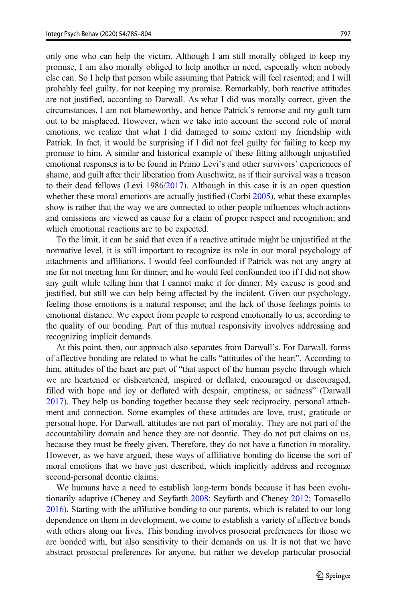only one who can help the victim. Although I am still morally obliged to keep my promise, I am also morally obliged to help another in need, especially when nobody else can. So I help that person while assuming that Patrick will feel resented; and I will probably feel guilty, for not keeping my promise. Remarkably, both reactive attitudes are not justified, according to Darwall. As what I did was morally correct, given the circumstances, I am not blameworthy, and hence Patrick's remorse and my guilt turn out to be misplaced. However, when we take into account the second role of moral emotions, we realize that what I did damaged to some extent my friendship with Patrick. In fact, it would be surprising if I did not feel guilty for failing to keep my promise to him. A similar and historical example of these fitting although unjustified emotional responses is to be found in Primo Levi's and other survivors' experiences of shame, and guilt after their liberation from Auschwitz, as if their survival was a treason to their dead fellows (Levi 1986/[2017](#page-18-0)). Although in this case it is an open question whether these moral emotions are actually justified (Corbí [2005\)](#page-17-0), what these examples show is rather that the way we are connected to other people influences which actions and omissions are viewed as cause for a claim of proper respect and recognition; and which emotional reactions are to be expected.

To the limit, it can be said that even if a reactive attitude might be unjustified at the normative level, it is still important to recognize its role in our moral psychology of attachments and affiliations. I would feel confounded if Patrick was not any angry at me for not meeting him for dinner; and he would feel confounded too if I did not show any guilt while telling him that I cannot make it for dinner. My excuse is good and justified, but still we can help being affected by the incident. Given our psychology, feeling those emotions is a natural response; and the lack of those feelings points to emotional distance. We expect from people to respond emotionally to us, according to the quality of our bonding. Part of this mutual responsivity involves addressing and recognizing implicit demands.

At this point, then, our approach also separates from Darwall's. For Darwall, forms of affective bonding are related to what he calls "attitudes of the heart". According to him, attitudes of the heart are part of "that aspect of the human psyche through which we are heartened or disheartened, inspired or deflated, encouraged or discouraged, filled with hope and joy or deflated with despair, emptiness, or sadness" (Darwall [2017\)](#page-18-0). They help us bonding together because they seek reciprocity, personal attachment and connection. Some examples of these attitudes are love, trust, gratitude or personal hope. For Darwall, attitudes are not part of morality. They are not part of the accountability domain and hence they are not deontic. They do not put claims on us, because they must be freely given. Therefore, they do not have a function in morality. However, as we have argued, these ways of affiliative bonding do license the sort of moral emotions that we have just described, which implicitly address and recognize second-personal deontic claims.

We humans have a need to establish long-term bonds because it has been evolutionarily adaptive (Cheney and Seyfarth [2008;](#page-17-0) Seyfarth and Cheney [2012;](#page-19-0) Tomasello [2016\)](#page-19-0). Starting with the affiliative bonding to our parents, which is related to our long dependence on them in development, we come to establish a variety of affective bonds with others along our lives. This bonding involves prosocial preferences for those we are bonded with, but also sensitivity to their demands on us. It is not that we have abstract prosocial preferences for anyone, but rather we develop particular prosocial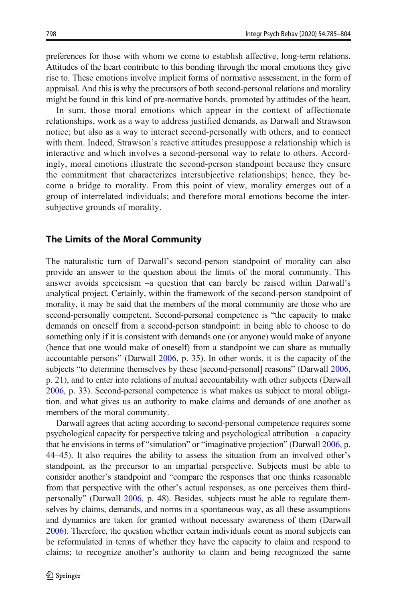preferences for those with whom we come to establish affective, long-term relations. Attitudes of the heart contribute to this bonding through the moral emotions they give rise to. These emotions involve implicit forms of normative assessment, in the form of appraisal. And this is why the precursors of both second-personal relations and morality might be found in this kind of pre-normative bonds, promoted by attitudes of the heart.

In sum, those moral emotions which appear in the context of affectionate relationships, work as a way to address justified demands, as Darwall and Strawson notice; but also as a way to interact second-personally with others, and to connect with them. Indeed, Strawson's reactive attitudes presuppose a relationship which is interactive and which involves a second-personal way to relate to others. Accordingly, moral emotions illustrate the second-person standpoint because they ensure the commitment that characterizes intersubjective relationships; hence, they become a bridge to morality. From this point of view, morality emerges out of a group of interrelated individuals; and therefore moral emotions become the intersubjective grounds of morality.

#### The Limits of the Moral Community

The naturalistic turn of Darwall's second-person standpoint of morality can also provide an answer to the question about the limits of the moral community. This answer avoids speciesism –a question that can barely be raised within Darwall's analytical project. Certainly, within the framework of the second-person standpoint of morality, it may be said that the members of the moral community are those who are second-personally competent. Second-personal competence is "the capacity to make demands on oneself from a second-person standpoint: in being able to choose to do something only if it is consistent with demands one (or anyone) would make of anyone (hence that one would make of oneself) from a standpoint we can share as mutually accountable persons" (Darwall [2006](#page-18-0), p. 35). In other words, it is the capacity of the subjects "to determine themselves by these [second-personal] reasons" (Darwall [2006,](#page-18-0) p. 21), and to enter into relations of mutual accountability with other subjects (Darwall [2006,](#page-18-0) p. 33). Second-personal competence is what makes us subject to moral obligation, and what gives us an authority to make claims and demands of one another as members of the moral community.

Darwall agrees that acting according to second-personal competence requires some psychological capacity for perspective taking and psychological attribution –a capacity that he envisions in terms of "simulation" or "imaginative projection" (Darwall [2006](#page-18-0), p. 44–45). It also requires the ability to assess the situation from an involved other's standpoint, as the precursor to an impartial perspective. Subjects must be able to consider another's standpoint and "compare the responses that one thinks reasonable from that perspective with the other's actual responses, as one perceives them thirdpersonally" (Darwall [2006,](#page-18-0) p. 48). Besides, subjects must be able to regulate themselves by claims, demands, and norms in a spontaneous way, as all these assumptions and dynamics are taken for granted without necessary awareness of them (Darwall [2006\)](#page-18-0). Therefore, the question whether certain individuals count as moral subjects can be reformulated in terms of whether they have the capacity to claim and respond to claims; to recognize another's authority to claim and being recognized the same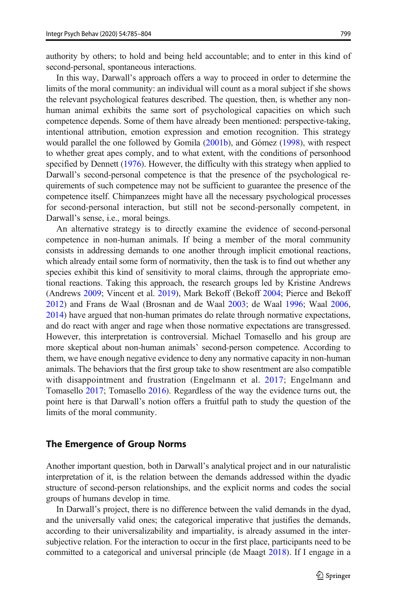authority by others; to hold and being held accountable; and to enter in this kind of second-personal, spontaneous interactions.

In this way, Darwall's approach offers a way to proceed in order to determine the limits of the moral community: an individual will count as a moral subject if she shows the relevant psychological features described. The question, then, is whether any nonhuman animal exhibits the same sort of psychological capacities on which such competence depends. Some of them have already been mentioned: perspective-taking, intentional attribution, emotion expression and emotion recognition. This strategy would parallel the one followed by Gomila [\(2001b](#page-18-0)), and Gómez ([1998](#page-18-0)), with respect to whether great apes comply, and to what extent, with the conditions of personhood specified by Dennett ([1976](#page-18-0)). However, the difficulty with this strategy when applied to Darwall's second-personal competence is that the presence of the psychological requirements of such competence may not be sufficient to guarantee the presence of the competence itself. Chimpanzees might have all the necessary psychological processes for second-personal interaction, but still not be second-personally competent, in Darwall's sense, i.e., moral beings.

An alternative strategy is to directly examine the evidence of second-personal competence in non-human animals. If being a member of the moral community consists in addressing demands to one another through implicit emotional reactions, which already entail some form of normativity, then the task is to find out whether any species exhibit this kind of sensitivity to moral claims, through the appropriate emotional reactions. Taking this approach, the research groups led by Kristine Andrews (Andrews [2009](#page-17-0); Vincent et al. [2019](#page-19-0)), Mark Bekoff (Bekoff [2004;](#page-17-0) Pierce and Bekoff [2012\)](#page-19-0) and Frans de Waal (Brosnan and de Waal [2003](#page-17-0); de Waal [1996;](#page-18-0) Waal [2006,](#page-18-0) [2014\)](#page-18-0) have argued that non-human primates do relate through normative expectations, and do react with anger and rage when those normative expectations are transgressed. However, this interpretation is controversial. Michael Tomasello and his group are more skeptical about non-human animals' second-person competence. According to them, we have enough negative evidence to deny any normative capacity in non-human animals. The behaviors that the first group take to show resentment are also compatible with disappointment and frustration (Engelmann et al. [2017](#page-18-0); Engelmann and Tomasello [2017;](#page-18-0) Tomasello [2016\)](#page-19-0). Regardless of the way the evidence turns out, the point here is that Darwall's notion offers a fruitful path to study the question of the limits of the moral community.

#### The Emergence of Group Norms

Another important question, both in Darwall's analytical project and in our naturalistic interpretation of it, is the relation between the demands addressed within the dyadic structure of second-person relationships, and the explicit norms and codes the social groups of humans develop in time.

In Darwall's project, there is no difference between the valid demands in the dyad, and the universally valid ones; the categorical imperative that justifies the demands, according to their universalizability and impartiality, is already assumed in the intersubjective relation. For the interaction to occur in the first place, participants need to be committed to a categorical and universal principle (de Maagt [2018](#page-18-0)). If I engage in a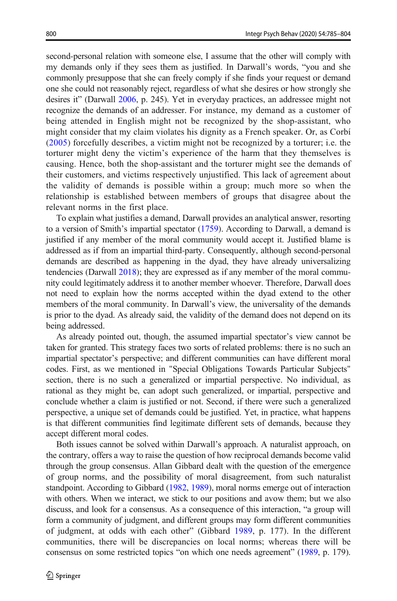second-personal relation with someone else, I assume that the other will comply with my demands only if they sees them as justified. In Darwall's words, "you and she commonly presuppose that she can freely comply if she finds your request or demand one she could not reasonably reject, regardless of what she desires or how strongly she desires it" (Darwall [2006,](#page-18-0) p. 245). Yet in everyday practices, an addressee might not recognize the demands of an addresser. For instance, my demand as a customer of being attended in English might not be recognized by the shop-assistant, who might consider that my claim violates his dignity as a French speaker. Or, as Corbí [\(2005\)](#page-17-0) forcefully describes, a victim might not be recognized by a torturer; i.e. the torturer might deny the victim's experience of the harm that they themselves is causing. Hence, both the shop-assistant and the torturer might see the demands of their customers, and victims respectively unjustified. This lack of agreement about the validity of demands is possible within a group; much more so when the relationship is established between members of groups that disagree about the relevant norms in the first place.

To explain what justifies a demand, Darwall provides an analytical answer, resorting to a version of Smith's impartial spectator [\(1759\)](#page-19-0). According to Darwall, a demand is justified if any member of the moral community would accept it. Justified blame is addressed as if from an impartial third-party. Consequently, although second-personal demands are described as happening in the dyad, they have already universalizing tendencies (Darwall [2018](#page-18-0)); they are expressed as if any member of the moral community could legitimately address it to another member whoever. Therefore, Darwall does not need to explain how the norms accepted within the dyad extend to the other members of the moral community. In Darwall's view, the universality of the demands is prior to the dyad. As already said, the validity of the demand does not depend on its being addressed.

As already pointed out, though, the assumed impartial spectator's view cannot be taken for granted. This strategy faces two sorts of related problems: there is no such an impartial spectator's perspective; and different communities can have different moral codes. First, as we mentioned in "Special Obligations Towards Particular Subjects" section, there is no such a generalized or impartial perspective. No individual, as rational as they might be, can adopt such generalized, or impartial, perspective and conclude whether a claim is justified or not. Second, if there were such a generalized perspective, a unique set of demands could be justified. Yet, in practice, what happens is that different communities find legitimate different sets of demands, because they accept different moral codes.

Both issues cannot be solved within Darwall's approach. A naturalist approach, on the contrary, offers a way to raise the question of how reciprocal demands become valid through the group consensus. Allan Gibbard dealt with the question of the emergence of group norms, and the possibility of moral disagreement, from such naturalist standpoint. According to Gibbard [\(1982,](#page-18-0) [1989](#page-18-0)), moral norms emerge out of interaction with others. When we interact, we stick to our positions and avow them; but we also discuss, and look for a consensus. As a consequence of this interaction, "a group will form a community of judgment, and different groups may form different communities of judgment, at odds with each other" (Gibbard [1989,](#page-18-0) p. 177). In the different communities, there will be discrepancies on local norms; whereas there will be consensus on some restricted topics "on which one needs agreement" [\(1989](#page-18-0), p. 179).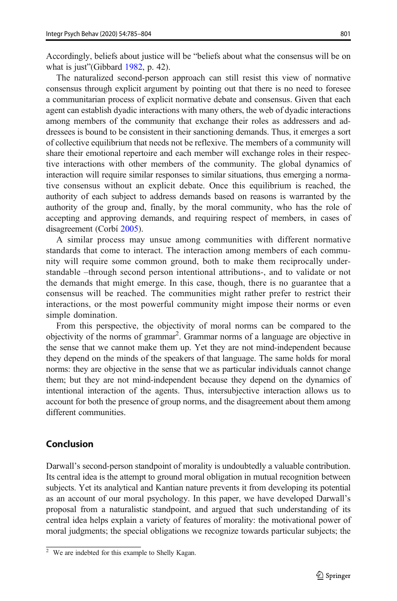Accordingly, beliefs about justice will be "beliefs about what the consensus will be on what is just" (Gibbard [1982,](#page-18-0) p. 42).

The naturalized second-person approach can still resist this view of normative consensus through explicit argument by pointing out that there is no need to foresee a communitarian process of explicit normative debate and consensus. Given that each agent can establish dyadic interactions with many others, the web of dyadic interactions among members of the community that exchange their roles as addressers and addressees is bound to be consistent in their sanctioning demands. Thus, it emerges a sort of collective equilibrium that needs not be reflexive. The members of a community will share their emotional repertoire and each member will exchange roles in their respective interactions with other members of the community. The global dynamics of interaction will require similar responses to similar situations, thus emerging a normative consensus without an explicit debate. Once this equilibrium is reached, the authority of each subject to address demands based on reasons is warranted by the authority of the group and, finally, by the moral community, who has the role of accepting and approving demands, and requiring respect of members, in cases of disagreement (Corbí [2005](#page-17-0)).

A similar process may unsue among communities with different normative standards that come to interact. The interaction among members of each community will require some common ground, both to make them reciprocally understandable –through second person intentional attributions-, and to validate or not the demands that might emerge. In this case, though, there is no guarantee that a consensus will be reached. The communities might rather prefer to restrict their interactions, or the most powerful community might impose their norms or even simple domination.

From this perspective, the objectivity of moral norms can be compared to the objectivity of the norms of grammar<sup>2</sup>. Grammar norms of a language are objective in the sense that we cannot make them up. Yet they are not mind-independent because they depend on the minds of the speakers of that language. The same holds for moral norms: they are objective in the sense that we as particular individuals cannot change them; but they are not mind-independent because they depend on the dynamics of intentional interaction of the agents. Thus, intersubjective interaction allows us to account for both the presence of group norms, and the disagreement about them among different communities.

## Conclusion

Darwall's second-person standpoint of morality is undoubtedly a valuable contribution. Its central idea is the attempt to ground moral obligation in mutual recognition between subjects. Yet its analytical and Kantian nature prevents it from developing its potential as an account of our moral psychology. In this paper, we have developed Darwall's proposal from a naturalistic standpoint, and argued that such understanding of its central idea helps explain a variety of features of morality: the motivational power of moral judgments; the special obligations we recognize towards particular subjects; the

<sup>2</sup> We are indebted for this example to Shelly Kagan.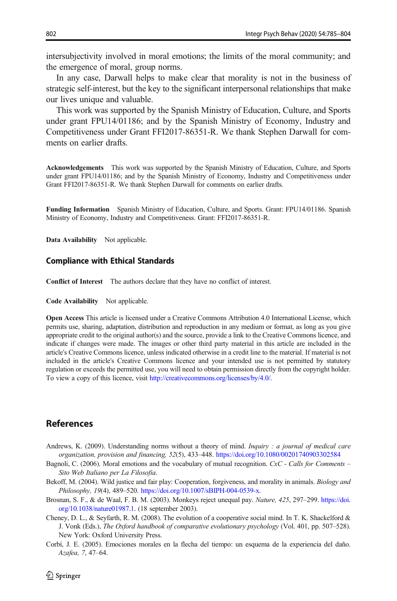<span id="page-17-0"></span>intersubjectivity involved in moral emotions; the limits of the moral community; and the emergence of moral, group norms.

In any case, Darwall helps to make clear that morality is not in the business of strategic self-interest, but the key to the significant interpersonal relationships that make our lives unique and valuable.

This work was supported by the Spanish Ministry of Education, Culture, and Sports under grant FPU14/01186; and by the Spanish Ministry of Economy, Industry and Competitiveness under Grant FFI2017-86351-R. We thank Stephen Darwall for comments on earlier drafts.

Acknowledgements This work was supported by the Spanish Ministry of Education, Culture, and Sports under grant FPU14/01186; and by the Spanish Ministry of Economy, Industry and Competitiveness under Grant FFI2017-86351-R. We thank Stephen Darwall for comments on earlier drafts.

Funding Information Spanish Ministry of Education, Culture, and Sports. Grant: FPU14/01186. Spanish Ministry of Economy, Industry and Competitiveness. Grant: FFI2017-86351-R.

Data Availability Not applicable.

#### Compliance with Ethical Standards

Conflict of Interest The authors declare that they have no conflict of interest.

Code Availability Not applicable.

Open Access This article is licensed under a Creative Commons Attribution 4.0 International License, which permits use, sharing, adaptation, distribution and reproduction in any medium or format, as long as you give appropriate credit to the original author(s) and the source, provide a link to the Creative Commons licence, and indicate if changes were made. The images or other third party material in this article are included in the article's Creative Commons licence, unless indicated otherwise in a credit line to the material. If material is not included in the article's Creative Commons licence and your intended use is not permitted by statutory regulation or exceeds the permitted use, you will need to obtain permission directly from the copyright holder. To view a copy of this licence, visit [http://creativecommons.org/licenses/by/4.0/](https://doi.org/http://creativecommons.org/licenses/by/4.0/).

#### References

- Andrews, K. (2009). Understanding norms without a theory of mind. *Inquiry : a journal of medical care* organization, provision and financing, 52(5), 433–448. <https://doi.org/10.1080/00201740903302584>
- Bagnoli, C. (2006). Moral emotions and the vocabulary of mutual recognition. CxC Calls for Comments Sito Web Italiano per La Filosofia.
- Bekoff, M. (2004). Wild justice and fair play: Cooperation, forgiveness, and morality in animals. Biology and Philosophy, 19(4), 489–520. <https://doi.org/10.1007/sBIPH-004-0539-x>.
- Brosnan, S. F., & de Waal, F. B. M. (2003). Monkeys reject unequal pay. Nature, 425, 297–299. [https://doi.](https://doi.org/10.1038/nature01987.1) [org/10.1038/nature01987.1.](https://doi.org/10.1038/nature01987.1) (18 september 2003).
- Cheney, D. L., & Seyfarth, R. M. (2008). The evolution of a cooperative social mind. In T. K. Shackelford & J. Vonk (Eds.), The Oxford handbook of comparative evolutionary psychology (Vol. 401, pp. 507–528). New York: Oxford University Press.
- Corbí, J. E. (2005). Emociones morales en la flecha del tiempo: un esquema de la experiencia del daño. Azafea, 7, 47–64.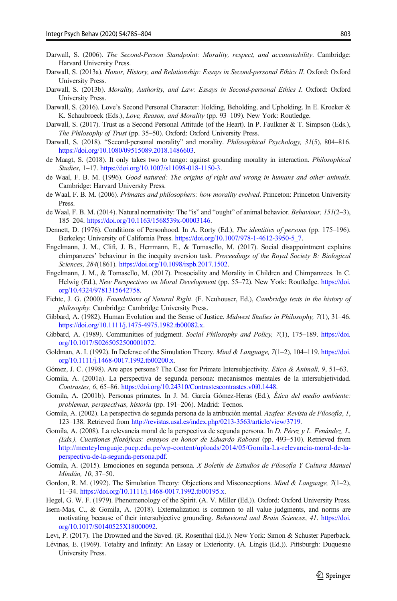- <span id="page-18-0"></span>Darwall, S. (2006). The Second-Person Standpoint: Morality, respect, and accountability. Cambridge: Harvard University Press.
- Darwall, S. (2013a). Honor, History, and Relationship: Essays in Second-personal Ethics II. Oxford: Oxford University Press.
- Darwall, S. (2013b). Morality, Authority, and Law: Essays in Second-personal Ethics I. Oxford: Oxford University Press.
- Darwall, S. (2016). Love's Second Personal Character: Holding, Beholding, and Upholding. In E. Kroeker & K. Schaubroeck (Eds.), Love, Reason, and Morality (pp. 93–109). New York: Routledge.
- Darwall, S. (2017). Trust as a Second Personal Attitude (of the Heart). In P. Faulkner & T. Simpson (Eds.), The Philosophy of Trust (pp. 35–50). Oxford: Oxford University Press.
- Darwall, S. (2018). "Second-personal morality" and morality. Philosophical Psychology, 31(5), 804–816. <https://doi.org/10.1080/09515089.2018.1486603>.
- de Maagt, S. (2018). It only takes two to tango: against grounding morality in interaction. *Philosophical* Studies, 1–17. [https://doi.org/10.1007/s11098-018-1150-3.](https://doi.org/10.1007/s11098-018-1150-3)
- de Waal, F. B. M. (1996). Good natured: The origins of right and wrong in humans and other animals. Cambridge: Harvard University Press.
- de Waal, F. B. M. (2006). Primates and philosophers: how morality evolved. Princeton: Princeton University Press.
- de Waal, F. B. M. (2014). Natural normativity: The "is" and "ought" of animal behavior. Behaviour, 151(2-3), 185–204. [https://doi.org/10.1163/1568539x-00003146.](https://doi.org/10.1163/1568539x-00003146)
- Dennett, D. (1976). Conditions of Personhood. In A. Rorty (Ed.), The identities of persons (pp. 175–196). Berkeley: University of California Press. [https://doi.org/10.1007/978-1-4612-3950-5\\_7.](https://doi.org/10.1007/978-1-4612-3950-5_7)
- Engelmann, J. M., Clift, J. B., Herrmann, E., & Tomasello, M. (2017). Social disappointment explains chimpanzees' behaviour in the inequity aversion task. Proceedings of the Royal Society B: Biological Sciences, 284(1861). [https://doi.org/10.1098/rspb.2017.1502.](https://doi.org/10.1098/rspb.2017.1502)
- Engelmann, J. M., & Tomasello, M. (2017). Prosociality and Morality in Children and Chimpanzees. In C. Helwig (Ed.), New Perspectives on Moral Development (pp. 55–72). New York: Routledge. [https://doi.](https://doi.org/http://creativecommons.org/licenses/by/4.0/) [org/10.4324/9781315642758.](https://doi.org/http://creativecommons.org/licenses/by/4.0/)
- Fichte, J. G. (2000). Foundations of Natural Right. (F. Neuhouser, Ed.), Cambridge texts in the history of philosophy. Cambridge: Cambridge University Press.
- Gibbard, A. (1982). Human Evolution and the Sense of Justice. Midwest Studies in Philosophy, 7(1), 31–46. [https://doi.org/10.1111/j.1475-4975.1982.tb00082.x.](https://doi.org/10.1111/j.1475-4975.1982.tb00082.x)
- Gibbard, A. (1989). Communities of judgment. Social Philosophy and Policy, 7(1), 175–189. [https://doi.](https://doi.org/10.1017/S0265052500001072) [org/10.1017/S0265052500001072.](https://doi.org/10.1017/S0265052500001072)
- Goldman, A. I. (1992). In Defense of the Simulation Theory. *Mind & Language*,  $7(1-2)$ , 104–119. [https://doi.](https://doi.org/10.1111/j.1468-0017.1992.tb00200.x) [org/10.1111/j.1468-0017.1992.tb00200.x](https://doi.org/10.1111/j.1468-0017.1992.tb00200.x).
- Gómez, J. C. (1998). Are apes persons? The Case for Primate Intersubjectivity. *Etica & Animali*, 9, 51–63.
- Gomila, A. (2001a). La perspectiva de segunda persona: mecanismos mentales de la intersubjetividad. Contrastes, 6, 65–86. [https://doi.org/10.24310/Contrastescontrastes.v0i0.1448.](https://doi.org/10.24310/Contrastescontrastes.v0i0.1448)
- Gomila, A. (2001b). Personas primates. In J. M. García Gómez-Heras (Ed.), Ética del medio ambiente: problemas, perspectivas, historia (pp. 191–206). Madrid: Tecnos.
- Gomila, A. (2002). La perspectiva de segunda persona de la atribución mental. Azafea: Revista de Filosofía, I, 123–138. Retrieved from [http://revistas.usal.es/index.php/0213-3563/article/view/3719.](https://doi.org/http://creativecommons.org/licenses/by/4.0/)
- Gomila, A. (2008). La relevancia moral de la perspectiva de segunda persona. In D. Pérez y L. Fenández, L. (Eds.), Cuestiones filosóficas: ensayos en honor de Eduardo Rabossi (pp. 493–510). Retrieved from [http://menteylenguaje.pucp.edu.pe/wp-content/uploads/2014/05/Gomila-La-relevancia-moral-de-la](https://doi.org/http://creativecommons.org/licenses/by/4.0/)[perspectiva-de-la-segunda-persona.pdf](https://doi.org/http://creativecommons.org/licenses/by/4.0/).
- Gomila, A. (2015). Emociones en segunda persona. X Boletín de Estudios de Filosofía Y Cultura Manuel Mindán, 10, 37–50.
- Gordon, R. M. (1992). The Simulation Theory: Objections and Misconceptions. Mind & Language, 7(1-2), 11–34. <https://doi.org/10.1111/j.1468-0017.1992.tb00195.x>.
- Hegel, G. W. F. (1979). Phenomenology of the Spirit. (A. V. Miller (Ed.)). Oxford: Oxford University Press.
- Isern-Mas, C., & Gomila, A. (2018). Externalization is common to all value judgments, and norms are motivating because of their intersubjective grounding. Behavioral and Brain Sciences, 41. [https://doi.](https://doi.org/10.1017/S0140525X18000092) [org/10.1017/S0140525X18000092](https://doi.org/10.1017/S0140525X18000092).
- Levi, P. (2017). The Drowned and the Saved. (R. Rosenthal (Ed.)). New York: Simon & Schuster Paperback. Lévinas, E. (1969). Totality and Infinity: An Essay or Exteriority. (A. Lingis (Ed.)). Pittsburgh: Duquesne
	- University Press.